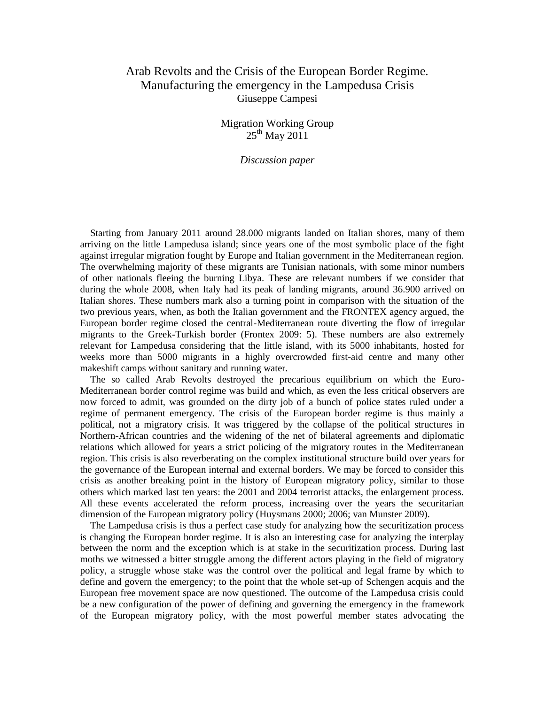# Arab Revolts and the Crisis of the European Border Regime. Manufacturing the emergency in the Lampedusa Crisis Giuseppe Campesi

Migration Working Group  $25^{th}$  May  $2011$ 

*Discussion paper*

Starting from January 2011 around 28.000 migrants landed on Italian shores, many of them arriving on the little Lampedusa island; since years one of the most symbolic place of the fight against irregular migration fought by Europe and Italian government in the Mediterranean region. The overwhelming majority of these migrants are Tunisian nationals, with some minor numbers of other nationals fleeing the burning Libya. These are relevant numbers if we consider that during the whole 2008, when Italy had its peak of landing migrants, around 36.900 arrived on Italian shores. These numbers mark also a turning point in comparison with the situation of the two previous years, when, as both the Italian government and the FRONTEX agency argued, the European border regime closed the central-Mediterranean route diverting the flow of irregular migrants to the Greek-Turkish border (Frontex 2009: 5). These numbers are also extremely relevant for Lampedusa considering that the little island, with its 5000 inhabitants, hosted for weeks more than 5000 migrants in a highly overcrowded first-aid centre and many other makeshift camps without sanitary and running water.

The so called Arab Revolts destroyed the precarious equilibrium on which the Euro-Mediterranean border control regime was build and which, as even the less critical observers are now forced to admit, was grounded on the dirty job of a bunch of police states ruled under a regime of permanent emergency. The crisis of the European border regime is thus mainly a political, not a migratory crisis. It was triggered by the collapse of the political structures in Northern-African countries and the widening of the net of bilateral agreements and diplomatic relations which allowed for years a strict policing of the migratory routes in the Mediterranean region. This crisis is also reverberating on the complex institutional structure build over years for the governance of the European internal and external borders. We may be forced to consider this crisis as another breaking point in the history of European migratory policy, similar to those others which marked last ten years: the 2001 and 2004 terrorist attacks, the enlargement process. All these events accelerated the reform process, increasing over the years the securitarian dimension of the European migratory policy (Huysmans 2000; 2006; van Munster 2009).

The Lampedusa crisis is thus a perfect case study for analyzing how the securitization process is changing the European border regime. It is also an interesting case for analyzing the interplay between the norm and the exception which is at stake in the securitization process. During last moths we witnessed a bitter struggle among the different actors playing in the field of migratory policy, a struggle whose stake was the control over the political and legal frame by which to define and govern the emergency; to the point that the whole set-up of Schengen acquis and the European free movement space are now questioned. The outcome of the Lampedusa crisis could be a new configuration of the power of defining and governing the emergency in the framework of the European migratory policy, with the most powerful member states advocating the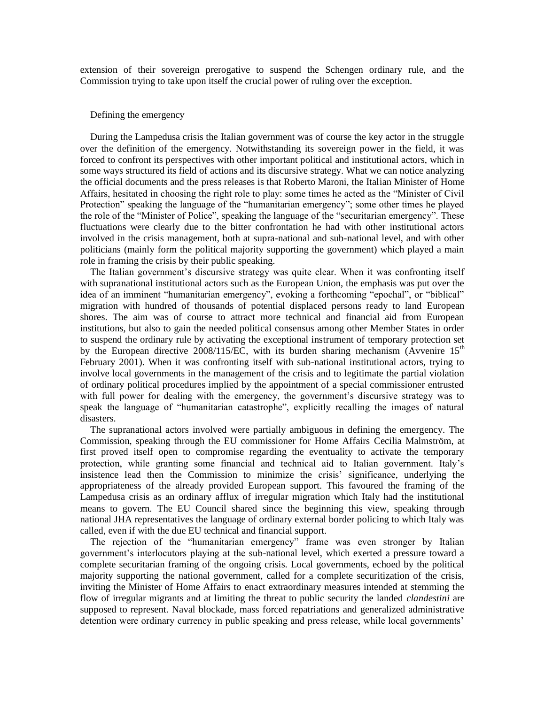extension of their sovereign prerogative to suspend the Schengen ordinary rule, and the Commission trying to take upon itself the crucial power of ruling over the exception.

## Defining the emergency

During the Lampedusa crisis the Italian government was of course the key actor in the struggle over the definition of the emergency. Notwithstanding its sovereign power in the field, it was forced to confront its perspectives with other important political and institutional actors, which in some ways structured its field of actions and its discursive strategy. What we can notice analyzing the official documents and the press releases is that Roberto Maroni, the Italian Minister of Home Affairs, hesitated in choosing the right role to play: some times he acted as the "Minister of Civil Protection" speaking the language of the "humanitarian emergency"; some other times he played the role of the "Minister of Police", speaking the language of the "securitarian emergency". These fluctuations were clearly due to the bitter confrontation he had with other institutional actors involved in the crisis management, both at supra-national and sub-national level, and with other politicians (mainly form the political majority supporting the government) which played a main role in framing the crisis by their public speaking.

The Italian government's discursive strategy was quite clear. When it was confronting itself with supranational institutional actors such as the European Union, the emphasis was put over the idea of an imminent "humanitarian emergency", evoking a forthcoming "epochal", or "biblical" migration with hundred of thousands of potential displaced persons ready to land European shores. The aim was of course to attract more technical and financial aid from European institutions, but also to gain the needed political consensus among other Member States in order to suspend the ordinary rule by activating the exceptional instrument of temporary protection set by the European directive 2008/115/EC, with its burden sharing mechanism (Avvenire  $15<sup>th</sup>$ February 2001). When it was confronting itself with sub-national institutional actors, trying to involve local governments in the management of the crisis and to legitimate the partial violation of ordinary political procedures implied by the appointment of a special commissioner entrusted with full power for dealing with the emergency, the government's discursive strategy was to speak the language of "humanitarian catastrophe", explicitly recalling the images of natural disasters.

The supranational actors involved were partially ambiguous in defining the emergency. The Commission, speaking through the EU commissioner for Home Affairs Cecilia Malmström, at first proved itself open to compromise regarding the eventuality to activate the temporary protection, while granting some financial and technical aid to Italian government. Italy's insistence lead then the Commission to minimize the crisis' significance, underlying the appropriateness of the already provided European support. This favoured the framing of the Lampedusa crisis as an ordinary afflux of irregular migration which Italy had the institutional means to govern. The EU Council shared since the beginning this view, speaking through national JHA representatives the language of ordinary external border policing to which Italy was called, even if with the due EU technical and financial support.

The rejection of the "humanitarian emergency" frame was even stronger by Italian government's interlocutors playing at the sub-national level, which exerted a pressure toward a complete securitarian framing of the ongoing crisis. Local governments, echoed by the political majority supporting the national government, called for a complete securitization of the crisis, inviting the Minister of Home Affairs to enact extraordinary measures intended at stemming the flow of irregular migrants and at limiting the threat to public security the landed *clandestini* are supposed to represent. Naval blockade, mass forced repatriations and generalized administrative detention were ordinary currency in public speaking and press release, while local governments'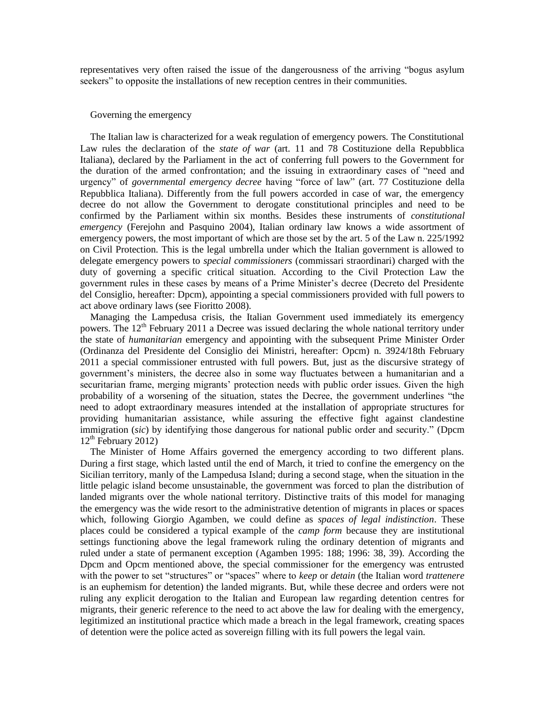representatives very often raised the issue of the dangerousness of the arriving "bogus asylum seekers" to opposite the installations of new reception centres in their communities.

### Governing the emergency

The Italian law is characterized for a weak regulation of emergency powers. The Constitutional Law rules the declaration of the *state of war* (art. 11 and 78 Costituzione della Repubblica Italiana), declared by the Parliament in the act of conferring full powers to the Government for the duration of the armed confrontation; and the issuing in extraordinary cases of "need and urgency" of *governmental emergency decree* having "force of law" (art. 77 Costituzione della Repubblica Italiana). Differently from the full powers accorded in case of war, the emergency decree do not allow the Government to derogate constitutional principles and need to be confirmed by the Parliament within six months. Besides these instruments of *constitutional emergency* (Ferejohn and Pasquino 2004), Italian ordinary law knows a wide assortment of emergency powers, the most important of which are those set by the art. 5 of the Law n. 225/1992 on Civil Protection. This is the legal umbrella under which the Italian government is allowed to delegate emergency powers to *special commissioners* (commissari straordinari) charged with the duty of governing a specific critical situation. According to the Civil Protection Law the government rules in these cases by means of a Prime Minister's decree (Decreto del Presidente del Consiglio, hereafter: Dpcm), appointing a special commissioners provided with full powers to act above ordinary laws (see Fioritto 2008).

Managing the Lampedusa crisis, the Italian Government used immediately its emergency powers. The 12<sup>th</sup> February 2011 a Decree was issued declaring the whole national territory under the state of *humanitarian* emergency and appointing with the subsequent Prime Minister Order (Ordinanza del Presidente del Consiglio dei Ministri, hereafter: Opcm) n. 3924/18th February 2011 a special commissioner entrusted with full powers. But, just as the discursive strategy of government's ministers, the decree also in some way fluctuates between a humanitarian and a securitarian frame, merging migrants' protection needs with public order issues. Given the high probability of a worsening of the situation, states the Decree, the government underlines "the need to adopt extraordinary measures intended at the installation of appropriate structures for providing humanitarian assistance, while assuring the effective fight against clandestine immigration (*sic*) by identifying those dangerous for national public order and security." (Dpcm  $12<sup>th</sup>$  February 2012)

The Minister of Home Affairs governed the emergency according to two different plans. During a first stage, which lasted until the end of March, it tried to confine the emergency on the Sicilian territory, manly of the Lampedusa Island; during a second stage, when the situation in the little pelagic island become unsustainable, the government was forced to plan the distribution of landed migrants over the whole national territory. Distinctive traits of this model for managing the emergency was the wide resort to the administrative detention of migrants in places or spaces which, following Giorgio Agamben, we could define as *spaces of legal indistinction*. These places could be considered a typical example of the *camp form* because they are institutional settings functioning above the legal framework ruling the ordinary detention of migrants and ruled under a state of permanent exception (Agamben 1995: 188; 1996: 38, 39). According the Dpcm and Opcm mentioned above, the special commissioner for the emergency was entrusted with the power to set "structures" or "spaces" where to *keep* or *detain* (the Italian word *trattenere*  is an euphemism for detention) the landed migrants. But, while these decree and orders were not ruling any explicit derogation to the Italian and European law regarding detention centres for migrants, their generic reference to the need to act above the law for dealing with the emergency, legitimized an institutional practice which made a breach in the legal framework, creating spaces of detention were the police acted as sovereign filling with its full powers the legal vain.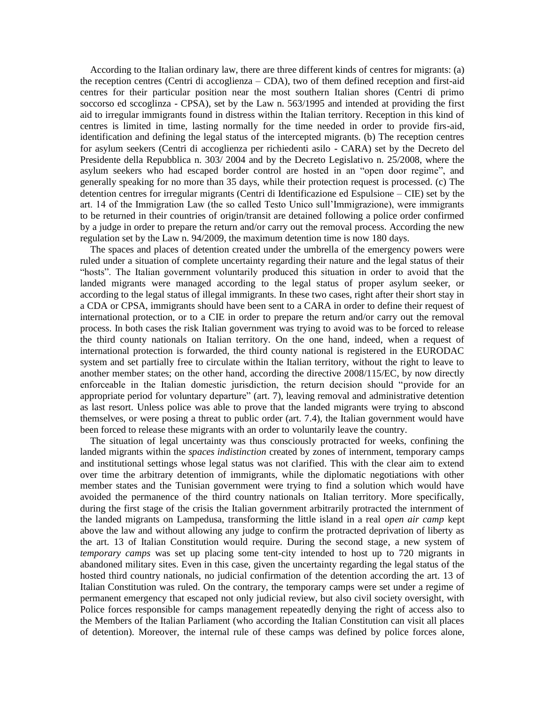According to the Italian ordinary law, there are three different kinds of centres for migrants: (a) the reception centres (Centri di accoglienza – CDA), two of them defined reception and first-aid centres for their particular position near the most southern Italian shores (Centri di primo soccorso ed sccoglinza - CPSA), set by the Law n. 563/1995 and intended at providing the first aid to irregular immigrants found in distress within the Italian territory. Reception in this kind of centres is limited in time, lasting normally for the time needed in order to provide firs-aid, identification and defining the legal status of the intercepted migrants. (b) The reception centres for asylum seekers (Centri di accoglienza per richiedenti asilo - CARA) set by the Decreto del Presidente della Repubblica n. 303/ 2004 and by the Decreto Legislativo n. 25/2008, where the asylum seekers who had escaped border control are hosted in an "open door regime", and generally speaking for no more than 35 days, while their protection request is processed. (c) The detention centres for irregular migrants (Centri di Identificazione ed Espulsione – CIE) set by the art. 14 of the Immigration Law (the so called Testo Unico sull'Immigrazione), were immigrants to be returned in their countries of origin/transit are detained following a police order confirmed by a judge in order to prepare the return and/or carry out the removal process. According the new regulation set by the Law n. 94/2009, the maximum detention time is now 180 days.

The spaces and places of detention created under the umbrella of the emergency powers were ruled under a situation of complete uncertainty regarding their nature and the legal status of their "hosts". The Italian government voluntarily produced this situation in order to avoid that the landed migrants were managed according to the legal status of proper asylum seeker, or according to the legal status of illegal immigrants. In these two cases, right after their short stay in a CDA or CPSA, immigrants should have been sent to a CARA in order to define their request of international protection, or to a CIE in order to prepare the return and/or carry out the removal process. In both cases the risk Italian government was trying to avoid was to be forced to release the third county nationals on Italian territory. On the one hand, indeed, when a request of international protection is forwarded, the third county national is registered in the EURODAC system and set partially free to circulate within the Italian territory, without the right to leave to another member states; on the other hand, according the directive 2008/115/EC, by now directly enforceable in the Italian domestic jurisdiction, the return decision should "provide for an appropriate period for voluntary departure" (art. 7), leaving removal and administrative detention as last resort. Unless police was able to prove that the landed migrants were trying to abscond themselves, or were posing a threat to public order (art. 7.4), the Italian government would have been forced to release these migrants with an order to voluntarily leave the country.

The situation of legal uncertainty was thus consciously protracted for weeks, confining the landed migrants within the *spaces indistinction* created by zones of internment, temporary camps and institutional settings whose legal status was not clarified. This with the clear aim to extend over time the arbitrary detention of immigrants, while the diplomatic negotiations with other member states and the Tunisian government were trying to find a solution which would have avoided the permanence of the third country nationals on Italian territory. More specifically, during the first stage of the crisis the Italian government arbitrarily protracted the internment of the landed migrants on Lampedusa, transforming the little island in a real *open air camp* kept above the law and without allowing any judge to confirm the protracted deprivation of liberty as the art. 13 of Italian Constitution would require. During the second stage, a new system of *temporary camps* was set up placing some tent-city intended to host up to 720 migrants in abandoned military sites. Even in this case, given the uncertainty regarding the legal status of the hosted third country nationals, no judicial confirmation of the detention according the art. 13 of Italian Constitution was ruled. On the contrary, the temporary camps were set under a regime of permanent emergency that escaped not only judicial review, but also civil society oversight, with Police forces responsible for camps management repeatedly denying the right of access also to the Members of the Italian Parliament (who according the Italian Constitution can visit all places of detention). Moreover, the internal rule of these camps was defined by police forces alone,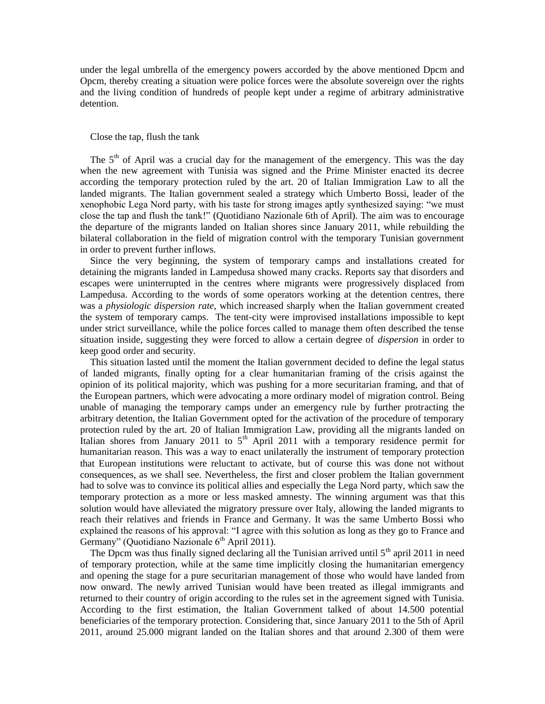under the legal umbrella of the emergency powers accorded by the above mentioned Dpcm and Opcm, thereby creating a situation were police forces were the absolute sovereign over the rights and the living condition of hundreds of people kept under a regime of arbitrary administrative detention.

# Close the tap, flush the tank

The  $5<sup>th</sup>$  of April was a crucial day for the management of the emergency. This was the day when the new agreement with Tunisia was signed and the Prime Minister enacted its decree according the temporary protection ruled by the art. 20 of Italian Immigration Law to all the landed migrants. The Italian government sealed a strategy which Umberto Bossi, leader of the xenophobic Lega Nord party, with his taste for strong images aptly synthesized saying: "we must close the tap and flush the tank!" (Quotidiano Nazionale 6th of April). The aim was to encourage the departure of the migrants landed on Italian shores since January 2011, while rebuilding the bilateral collaboration in the field of migration control with the temporary Tunisian government in order to prevent further inflows.

Since the very beginning, the system of temporary camps and installations created for detaining the migrants landed in Lampedusa showed many cracks. Reports say that disorders and escapes were uninterrupted in the centres where migrants were progressively displaced from Lampedusa. According to the words of some operators working at the detention centres, there was a *physiologic dispersion rate*, which increased sharply when the Italian government created the system of temporary camps. The tent-city were improvised installations impossible to kept under strict surveillance, while the police forces called to manage them often described the tense situation inside, suggesting they were forced to allow a certain degree of *dispersion* in order to keep good order and security.

This situation lasted until the moment the Italian government decided to define the legal status of landed migrants, finally opting for a clear humanitarian framing of the crisis against the opinion of its political majority, which was pushing for a more securitarian framing, and that of the European partners, which were advocating a more ordinary model of migration control. Being unable of managing the temporary camps under an emergency rule by further protracting the arbitrary detention, the Italian Government opted for the activation of the procedure of temporary protection ruled by the art. 20 of Italian Immigration Law, providing all the migrants landed on Italian shores from January 2011 to  $5<sup>th</sup>$  April 2011 with a temporary residence permit for humanitarian reason. This was a way to enact unilaterally the instrument of temporary protection that European institutions were reluctant to activate, but of course this was done not without consequences, as we shall see. Nevertheless, the first and closer problem the Italian government had to solve was to convince its political allies and especially the Lega Nord party, which saw the temporary protection as a more or less masked amnesty. The winning argument was that this solution would have alleviated the migratory pressure over Italy, allowing the landed migrants to reach their relatives and friends in France and Germany. It was the same Umberto Bossi who explained the reasons of his approval: "I agree with this solution as long as they go to France and Germany" (Quotidiano Nazionale 6<sup>th</sup> April 2011).

The Dpcm was thus finally signed declaring all the Tunisian arrived until  $5<sup>th</sup>$  april 2011 in need of temporary protection, while at the same time implicitly closing the humanitarian emergency and opening the stage for a pure securitarian management of those who would have landed from now onward. The newly arrived Tunisian would have been treated as illegal immigrants and returned to their country of origin according to the rules set in the agreement signed with Tunisia. According to the first estimation, the Italian Government talked of about 14.500 potential beneficiaries of the temporary protection. Considering that, since January 2011 to the 5th of April 2011, around 25.000 migrant landed on the Italian shores and that around 2.300 of them were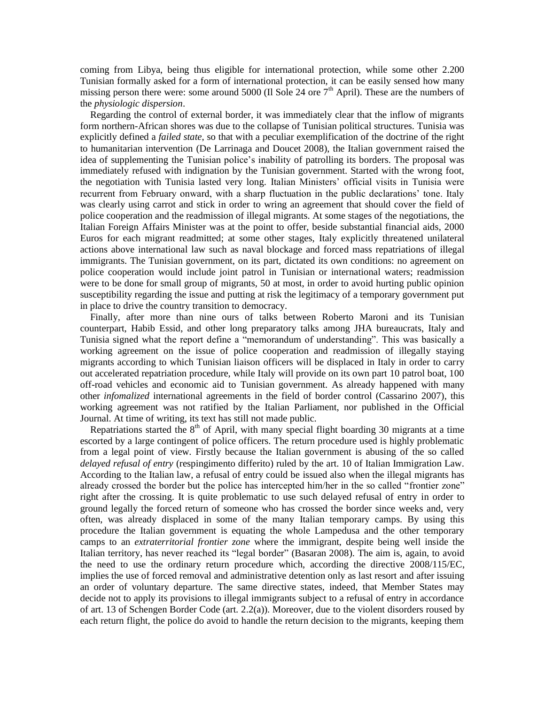coming from Libya, being thus eligible for international protection, while some other 2.200 Tunisian formally asked for a form of international protection, it can be easily sensed how many missing person there were: some around 5000 (Il Sole 24 ore 7<sup>th</sup> April). These are the numbers of the *physiologic dispersion*.

Regarding the control of external border, it was immediately clear that the inflow of migrants form northern-African shores was due to the collapse of Tunisian political structures. Tunisia was explicitly defined a *failed state*, so that with a peculiar exemplification of the doctrine of the right to humanitarian intervention (De Larrinaga and Doucet 2008), the Italian government raised the idea of supplementing the Tunisian police's inability of patrolling its borders. The proposal was immediately refused with indignation by the Tunisian government. Started with the wrong foot, the negotiation with Tunisia lasted very long. Italian Ministers' official visits in Tunisia were recurrent from February onward, with a sharp fluctuation in the public declarations' tone. Italy was clearly using carrot and stick in order to wring an agreement that should cover the field of police cooperation and the readmission of illegal migrants. At some stages of the negotiations, the Italian Foreign Affairs Minister was at the point to offer, beside substantial financial aids, 2000 Euros for each migrant readmitted; at some other stages, Italy explicitly threatened unilateral actions above international law such as naval blockage and forced mass repatriations of illegal immigrants. The Tunisian government, on its part, dictated its own conditions: no agreement on police cooperation would include joint patrol in Tunisian or international waters; readmission were to be done for small group of migrants, 50 at most, in order to avoid hurting public opinion susceptibility regarding the issue and putting at risk the legitimacy of a temporary government put in place to drive the country transition to democracy.

Finally, after more than nine ours of talks between Roberto Maroni and its Tunisian counterpart, Habib Essid, and other long preparatory talks among JHA bureaucrats, Italy and Tunisia signed what the report define a "memorandum of understanding". This was basically a working agreement on the issue of police cooperation and readmission of illegally staying migrants according to which Tunisian liaison officers will be displaced in Italy in order to carry out accelerated repatriation procedure, while Italy will provide on its own part 10 patrol boat, 100 off-road vehicles and economic aid to Tunisian government. As already happened with many other *infomalized* international agreements in the field of border control (Cassarino 2007), this working agreement was not ratified by the Italian Parliament, nor published in the Official Journal. At time of writing, its text has still not made public.

Repatriations started the  $8<sup>th</sup>$  of April, with many special flight boarding 30 migrants at a time escorted by a large contingent of police officers. The return procedure used is highly problematic from a legal point of view. Firstly because the Italian government is abusing of the so called *delayed refusal of entry* (respingimento differito) ruled by the art. 10 of Italian Immigration Law. According to the Italian law, a refusal of entry could be issued also when the illegal migrants has already crossed the border but the police has intercepted him/her in the so called "frontier zone" right after the crossing. It is quite problematic to use such delayed refusal of entry in order to ground legally the forced return of someone who has crossed the border since weeks and, very often, was already displaced in some of the many Italian temporary camps. By using this procedure the Italian government is equating the whole Lampedusa and the other temporary camps to an *extraterritorial frontier zone* where the immigrant, despite being well inside the Italian territory, has never reached its "legal border" (Basaran 2008). The aim is, again, to avoid the need to use the ordinary return procedure which, according the directive 2008/115/EC, implies the use of forced removal and administrative detention only as last resort and after issuing an order of voluntary departure. The same directive states, indeed, that Member States may decide not to apply its provisions to illegal immigrants subject to a refusal of entry in accordance of art. 13 of Schengen Border Code (art. 2.2(a)). Moreover, due to the violent disorders roused by each return flight, the police do avoid to handle the return decision to the migrants, keeping them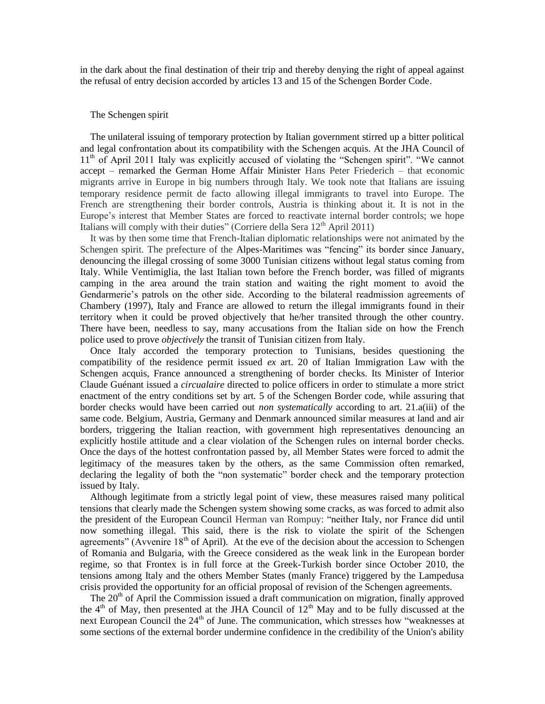in the dark about the final destination of their trip and thereby denying the right of appeal against the refusal of entry decision accorded by articles 13 and 15 of the Schengen Border Code.

#### The Schengen spirit

The unilateral issuing of temporary protection by Italian government stirred up a bitter political and legal confrontation about its compatibility with the Schengen acquis. At the JHA Council of 11<sup>th</sup> of April 2011 Italy was explicitly accused of violating the "Schengen spirit". "We cannot accept – remarked the German Home Affair Minister Hans Peter Friederich – that economic migrants arrive in Europe in big numbers through Italy. We took note that Italians are issuing temporary residence permit de facto allowing illegal immigrants to travel into Europe. The French are strengthening their border controls, Austria is thinking about it. It is not in the Europe's interest that Member States are forced to reactivate internal border controls; we hope Italians will comply with their duties" (Corriere della Sera  $12<sup>th</sup>$  April 2011)

It was by then some time that French-Italian diplomatic relationships were not animated by the Schengen spirit. The prefecture of the Alpes-Maritimes was "fencing" its border since January, denouncing the illegal crossing of some 3000 Tunisian citizens without legal status coming from Italy. While Ventimiglia, the last Italian town before the French border, was filled of migrants camping in the area around the train station and waiting the right moment to avoid the Gendarmerie's patrols on the other side. According to the bilateral readmission agreements of Chambery (1997), Italy and France are allowed to return the illegal immigrants found in their territory when it could be proved objectively that he/her transited through the other country. There have been, needless to say, many accusations from the Italian side on how the French police used to prove *objectively* the transit of Tunisian citizen from Italy.

Once Italy accorded the temporary protection to Tunisians, besides questioning the compatibility of the residence permit issued *ex* art. 20 of Italian Immigration Law with the Schengen acquis, France announced a strengthening of border checks. Its Minister of Interior Claude Guénant issued a *circualaire* directed to police officers in order to stimulate a more strict enactment of the entry conditions set by art. 5 of the Schengen Border code, while assuring that border checks would have been carried out *non systematically* according to art. 21.a(iii) of the same code. Belgium, Austria, Germany and Denmark announced similar measures at land and air borders, triggering the Italian reaction, with government high representatives denouncing an explicitly hostile attitude and a clear violation of the Schengen rules on internal border checks. Once the days of the hottest confrontation passed by, all Member States were forced to admit the legitimacy of the measures taken by the others, as the same Commission often remarked, declaring the legality of both the "non systematic" border check and the temporary protection issued by Italy.

Although legitimate from a strictly legal point of view, these measures raised many political tensions that clearly made the Schengen system showing some cracks, as was forced to admit also the president of the European Council Herman van Rompuy: "neither Italy, nor France did until now something illegal. This said, there is the risk to violate the spirit of the Schengen agreements" (Avvenire  $18<sup>th</sup>$  of April). At the eve of the decision about the accession to Schengen of Romania and Bulgaria, with the Greece considered as the weak link in the European border regime, so that Frontex is in full force at the Greek-Turkish border since October 2010, the tensions among Italy and the others Member States (manly France) triggered by the Lampedusa crisis provided the opportunity for an official proposal of revision of the Schengen agreements.

The  $20<sup>th</sup>$  of April the Commission issued a draft communication on migration, finally approved the  $4<sup>th</sup>$  of May, then presented at the JHA Council of  $12<sup>th</sup>$  May and to be fully discussed at the next European Council the 24<sup>th</sup> of June. The communication, which stresses how "weaknesses at some sections of the external border undermine confidence in the credibility of the Union's ability